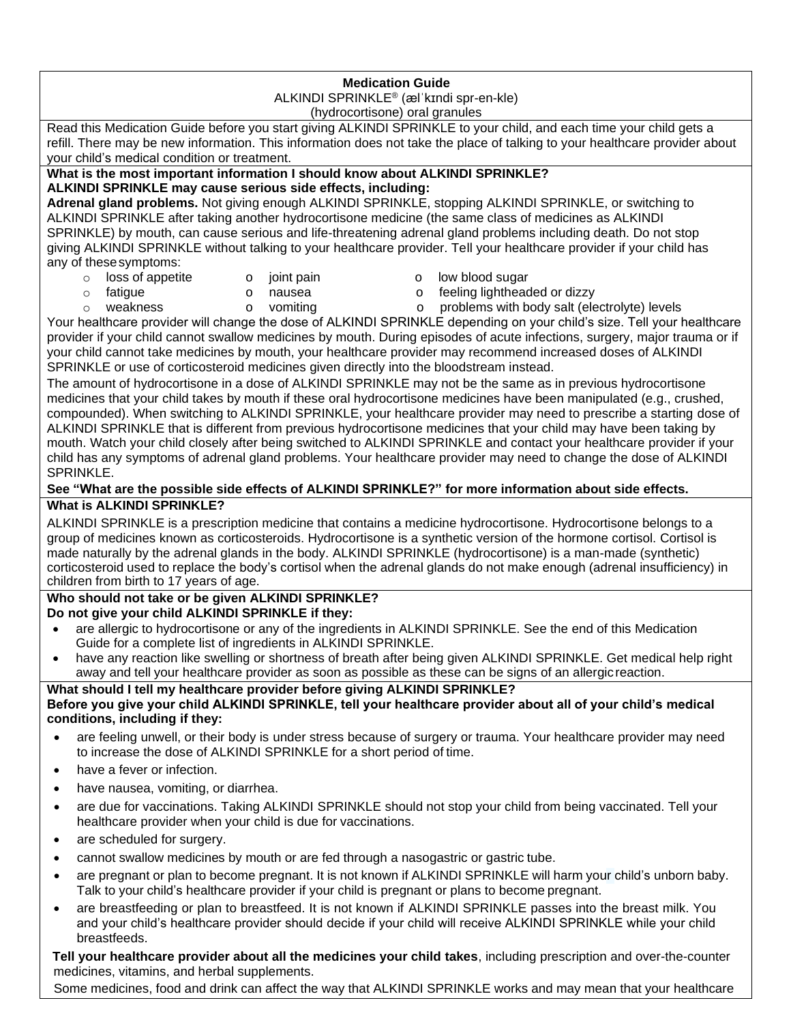## **Medication Guide**

ALKINDI SPRINKLE® (ælˈkɪndi spr-en-kle) (hydrocortisone) oral granules

Read this Medication Guide before you start giving ALKINDI SPRINKLE to your child, and each time your child gets a refill. There may be new information. This information does not take the place of talking to your healthcare provider about your child's medical condition or treatment.

#### **What is the most important information I should know about ALKINDI SPRINKLE? ALKINDI SPRINKLE may cause serious side effects, including:**

**Adrenal gland problems.** Not giving enough ALKINDI SPRINKLE, stopping ALKINDI SPRINKLE, or switching to ALKINDI SPRINKLE after taking another hydrocortisone medicine (the same class of medicines as ALKINDI SPRINKLE) by mouth, can cause serious and life-threatening adrenal gland problems including death. Do not stop giving ALKINDI SPRINKLE without talking to your healthcare provider. Tell your healthcare provider if your child has any of thesesymptoms:

- o loss of appetite o joint pain o low blood sugar
- o fatigue o nausea o feeling lightheaded or dizzy
- 
- 
- o weakness o vomiting o problems with body salt (electrolyte) levels
- Your healthcare provider will change the dose of ALKINDI SPRINKLE depending on your child's size. Tell your healthcare provider if your child cannot swallow medicines by mouth. During episodes of acute infections, surgery, major trauma or if your child cannot take medicines by mouth, your healthcare provider may recommend increased doses of ALKINDI SPRINKLE or use of corticosteroid medicines given directly into the bloodstream instead.

The amount of hydrocortisone in a dose of ALKINDI SPRINKLE may not be the same as in previous hydrocortisone medicines that your child takes by mouth if these oral hydrocortisone medicines have been manipulated (e.g., crushed, compounded). When switching to ALKINDI SPRINKLE, your healthcare provider may need to prescribe a starting dose of ALKINDI SPRINKLE that is different from previous hydrocortisone medicines that your child may have been taking by mouth. Watch your child closely after being switched to ALKINDI SPRINKLE and contact your healthcare provider if your child has any symptoms of adrenal gland problems. Your healthcare provider may need to change the dose of ALKINDI SPRINKLE.

## **See "What are the possible side effects of ALKINDI SPRINKLE?" for more information about side effects. What is ALKINDI SPRINKLE?**

ALKINDI SPRINKLE is a prescription medicine that contains a medicine hydrocortisone. Hydrocortisone belongs to a group of medicines known as corticosteroids. Hydrocortisone is a synthetic version of the hormone cortisol. Cortisol is made naturally by the adrenal glands in the body. ALKINDI SPRINKLE (hydrocortisone) is a man-made (synthetic) corticosteroid used to replace the body's cortisol when the adrenal glands do not make enough (adrenal insufficiency) in children from birth to 17 years of age.

# **Who should not take or be given ALKINDI SPRINKLE?**

**Do not give your child ALKINDI SPRINKLE if they:**

- are allergic to hydrocortisone or any of the ingredients in ALKINDI SPRINKLE. See the end of this Medication Guide for a complete list of ingredients in ALKINDI SPRINKLE.
- have any reaction like swelling or shortness of breath after being given ALKINDI SPRINKLE. Get medical help right away and tell your healthcare provider as soon as possible as these can be signs of an allergic reaction.

## **What should I tell my healthcare provider before giving ALKINDI SPRINKLE?**

## **Before you give your child ALKINDI SPRINKLE, tell your healthcare provider about all of your child's medical conditions, including if they:**

- are feeling unwell, or their body is under stress because of surgery or trauma. Your healthcare provider may need to increase the dose of ALKINDI SPRINKLE for a short period of time.
- have a fever or infection.
- have nausea, vomiting, or diarrhea.
- are due for vaccinations. Taking ALKINDI SPRINKLE should not stop your child from being vaccinated. Tell your healthcare provider when your child is due for vaccinations.
- are scheduled for surgery.
- cannot swallow medicines by mouth or are fed through a nasogastric or gastric tube.
- are pregnant or plan to become pregnant. It is not known if ALKINDI SPRINKLE will harm your child's unborn baby. Talk to your child's healthcare provider if your child is pregnant or plans to become pregnant.
- are breastfeeding or plan to breastfeed. It is not known if ALKINDI SPRINKLE passes into the breast milk. You and your child's healthcare provider should decide if your child will receive ALKINDI SPRINKLE while your child breastfeeds.

**Tell your healthcare provider about all the medicines your child takes**, including prescription and over-the-counter medicines, vitamins, and herbal supplements.

Some medicines, food and drink can affect the way that ALKINDI SPRINKLE works and may mean that your healthcare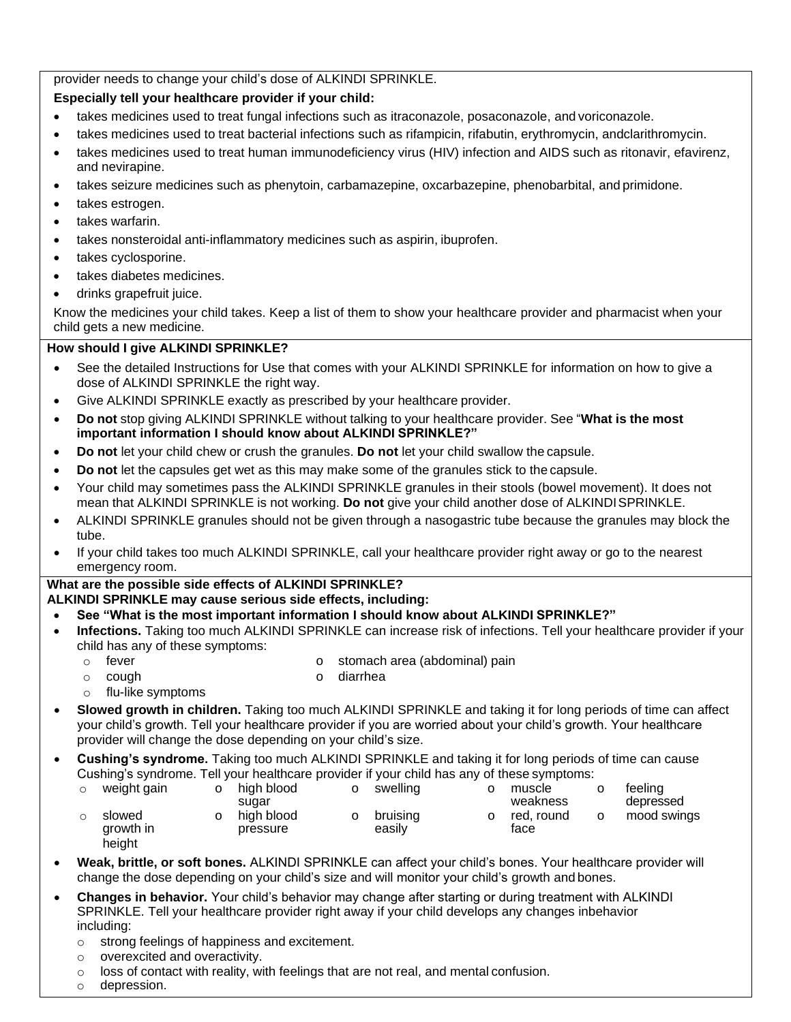provider needs to change your child's dose of ALKINDI SPRINKLE.

## **Especially tell your healthcare provider if your child:**

- takes medicines used to treat fungal infections such as itraconazole, posaconazole, and voriconazole.
- takes medicines used to treat bacterial infections such as rifampicin, rifabutin, erythromycin, andclarithromycin.
- takes medicines used to treat human immunodeficiency virus (HIV) infection and AIDS such as ritonavir, efavirenz, and nevirapine.
- takes seizure medicines such as phenytoin, carbamazepine, oxcarbazepine, phenobarbital, and primidone.
- takes estrogen.
- takes warfarin.
- takes nonsteroidal anti-inflammatory medicines such as aspirin, ibuprofen.
- takes cyclosporine.
- takes diabetes medicines.
- drinks grapefruit juice.

Know the medicines your child takes. Keep a list of them to show your healthcare provider and pharmacist when your child gets a new medicine.

## **How should I give ALKINDI SPRINKLE?**

- See the detailed Instructions for Use that comes with your ALKINDI SPRINKLE for information on how to give a dose of ALKINDI SPRINKLE the right way.
- Give ALKINDI SPRINKLE exactly as prescribed by your healthcare provider.
- **Do not** stop giving ALKINDI SPRINKLE without talking to your healthcare provider. See "**What is the most important information I should know about ALKINDI SPRINKLE?"**
- **Do not** let your child chew or crush the granules. **Do not** let your child swallow the capsule.
- **Do not** let the capsules get wet as this may make some of the granules stick to the capsule.
- Your child may sometimes pass the ALKINDI SPRINKLE granules in their stools (bowel movement). It does not mean that ALKINDI SPRINKLE is not working. **Do not** give your child another dose of ALKINDISPRINKLE.
- ALKINDI SPRINKLE granules should not be given through a nasogastric tube because the granules may block the tube.
- If your child takes too much ALKINDI SPRINKLE, call your healthcare provider right away or go to the nearest emergency room.

## **What are the possible side effects of ALKINDI SPRINKLE?**

- **ALKINDI SPRINKLE may cause serious side effects, including:**
- **See "What is the most important information I should know about ALKINDI SPRINKLE?"**
- **Infections.** Taking too much ALKINDI SPRINKLE can increase risk of infections. Tell your healthcare provider if your child has any of these symptoms:
	-
	- o fever **o stomach area (abdominal)** pain
	- o cough o diarrhea
	- o flu-like symptoms
- **Slowed growth in children.** Taking too much ALKINDI SPRINKLE and taking it for long periods of time can affect your child's growth. Tell your healthcare provider if you are worried about your child's growth. Your healthcare provider will change the dose depending on your child's size.
- **Cushing's syndrome.** Taking too much ALKINDI SPRINKLE and taking it for long periods of time can cause Cushing's syndrome. Tell your healthcare provider if your child has any of these symptoms:

| O | high blood             |       | swelling           | muscle             |          | feeling                  |
|---|------------------------|-------|--------------------|--------------------|----------|--------------------------|
|   | high blood<br>pressure |       | bruising<br>easilv | red. round<br>face |          | depressed<br>mood swings |
|   |                        | sugar |                    |                    | weakness |                          |

- **Weak, brittle, or soft bones.** ALKINDI SPRINKLE can affect your child's bones. Your healthcare provider will change the dose depending on your child's size and will monitor your child's growth and bones.
- **Changes in behavior.** Your child's behavior may change after starting or during treatment with ALKINDI SPRINKLE. Tell your healthcare provider right away if your child develops any changes inbehavior including:
	- o strong feelings of happiness and excitement.
	- o overexcited and overactivity.
	- o loss of contact with reality, with feelings that are not real, and mental confusion.
	- o depression.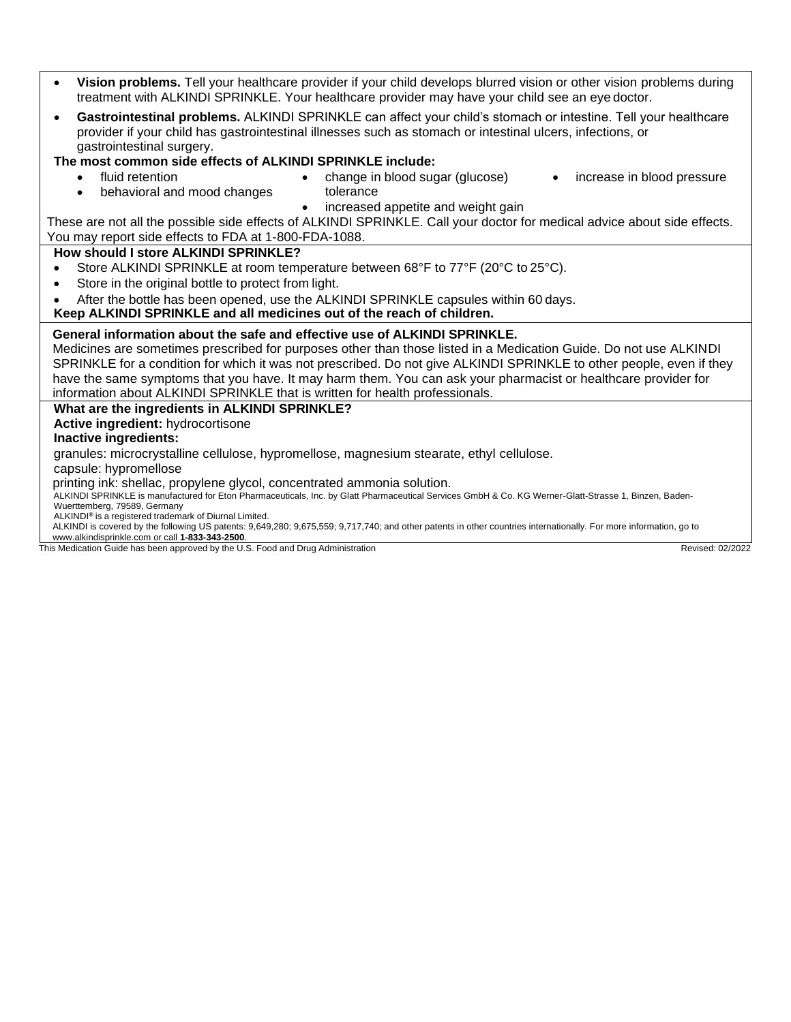- **Vision problems.** Tell your healthcare provider if your child develops blurred vision or other vision problems during treatment with ALKINDI SPRINKLE. Your healthcare provider may have your child see an eye doctor.
- **Gastrointestinal problems.** ALKINDI SPRINKLE can affect your child's stomach or intestine. Tell your healthcare provider if your child has gastrointestinal illnesses such as stomach or intestinal ulcers, infections, or gastrointestinal surgery.

**The most common side effects of ALKINDI SPRINKLE include:**

- - fluid retention **•** change in blood sugar (glucose) increase in blood pressure
	- behavioral and mood changes tolerance • increased appetite and weight gain

These are not all the possible side effects of ALKINDI SPRINKLE. Call your doctor for medical advice about side effects. You may report side effects to FDA at 1-800-FDA-1088.

## **How should I store ALKINDI SPRINKLE?**

- Store ALKINDI SPRINKLE at room temperature between 68°F to 77°F (20°C to 25°C).
- Store in the original bottle to protect from light.
- After the bottle has been opened, use the ALKINDI SPRINKLE capsules within 60 days.

## **Keep ALKINDI SPRINKLE and all medicines out of the reach of children.**

## **General information about the safe and effective use of ALKINDI SPRINKLE.**

Medicines are sometimes prescribed for purposes other than those listed in a Medication Guide. Do not use ALKINDI SPRINKLE for a condition for which it was not prescribed. Do not give ALKINDI SPRINKLE to other people, even if they have the same symptoms that you have. It may harm them. You can ask your pharmacist or healthcare provider for information about ALKINDI SPRINKLE that is written for health professionals.

**What are the ingredients in ALKINDI SPRINKLE?**

**Active ingredient:** hydrocortisone

#### **Inactive ingredients:**

granules: microcrystalline cellulose, hypromellose, magnesium stearate, ethyl cellulose.

capsule: hypromellose

printing ink: shellac, propylene glycol, concentrated ammonia solution.

ALKINDI SPRINKLE is manufactured for Eton Pharmaceuticals, Inc. by Glatt Pharmaceutical Services GmbH & Co. KG Werner-Glatt-Strasse 1, Binzen, Baden-Wuerttemberg, 79589, Germany

- ALKINDI**®** is a registered trademark of Diurnal Limited.
- ALKINDI is covered by the following US patents: 9,649,280; 9,675,559; 9,717,740; and other patents in other countries internationally. For more information, go to

[www.alkindisprinkle.com](http://www.alkindisprinkle.com/) or call **1-833-343-2500**.

This Medication Guide has been approved by the U.S. Food and Drug Administration **Revised: 02/2022 Revised: 02/2022**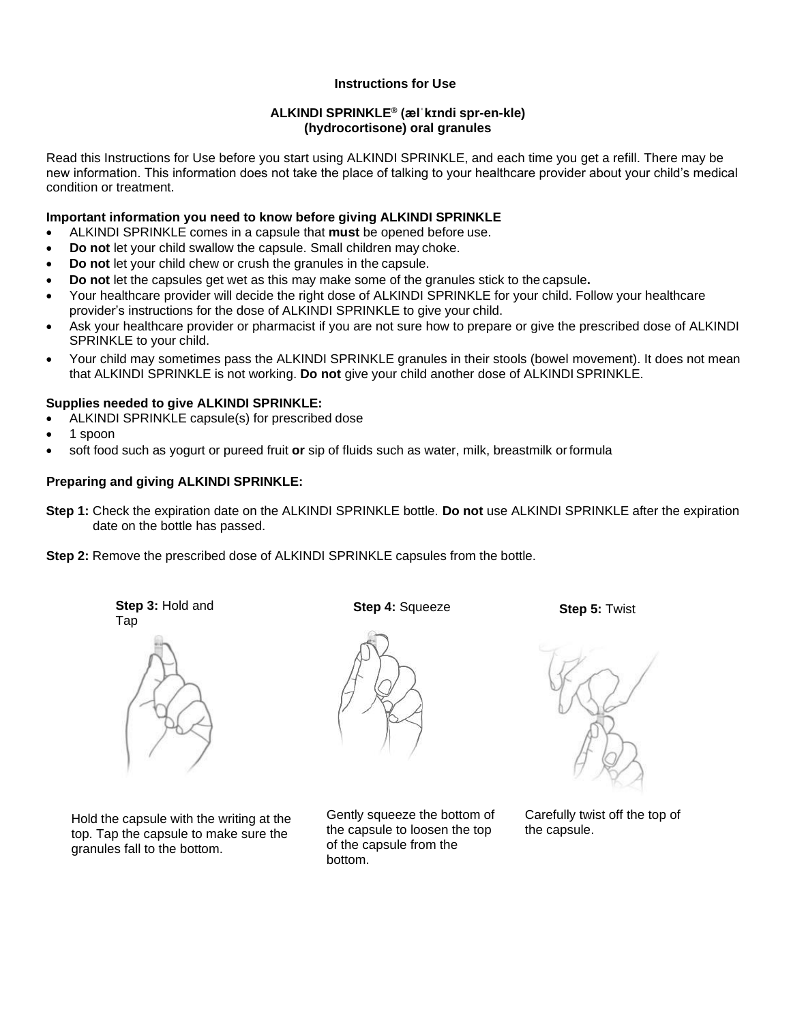## **Instructions for Use**

#### **ALKINDI SPRINKLE® (ælˈkɪndi spr-en-kle) (hydrocortisone) oral granules**

Read this Instructions for Use before you start using ALKINDI SPRINKLE, and each time you get a refill. There may be new information. This information does not take the place of talking to your healthcare provider about your child's medical condition or treatment.

#### **Important information you need to know before giving ALKINDI SPRINKLE**

- ALKINDI SPRINKLE comes in a capsule that **must** be opened before use.
- **Do not** let your child swallow the capsule. Small children may choke.
- **Do not** let your child chew or crush the granules in the capsule.
- **Do not** let the capsules get wet as this may make some of the granules stick to the capsule**.**
- Your healthcare provider will decide the right dose of ALKINDI SPRINKLE for your child. Follow your healthcare provider's instructions for the dose of ALKINDI SPRINKLE to give your child.
- Ask your healthcare provider or pharmacist if you are not sure how to prepare or give the prescribed dose of ALKINDI SPRINKLE to your child.
- Your child may sometimes pass the ALKINDI SPRINKLE granules in their stools (bowel movement). It does not mean that ALKINDI SPRINKLE is not working. **Do not** give your child another dose of ALKINDI SPRINKLE.

#### **Supplies needed to give ALKINDI SPRINKLE:**

- ALKINDI SPRINKLE capsule(s) for prescribed dose
- 1 spoon
- soft food such as yogurt or pureed fruit **or** sip of fluids such as water, milk, breastmilk orformula

#### **Preparing and giving ALKINDI SPRINKLE:**

**Step 1:** Check the expiration date on the ALKINDI SPRINKLE bottle. **Do not** use ALKINDI SPRINKLE after the expiration date on the bottle has passed.

**Step 2:** Remove the prescribed dose of ALKINDI SPRINKLE capsules from the bottle.

**Step 3:** Hold and Tap



Hold the capsule with the writing at the top. Tap the capsule to make sure the granules fall to the bottom.

**Step 4:** Squeeze



Gently squeeze the bottom of the capsule to loosen the top of the capsule from the bottom.

**Step 5:** Twist



Carefully twist off the top of the capsule.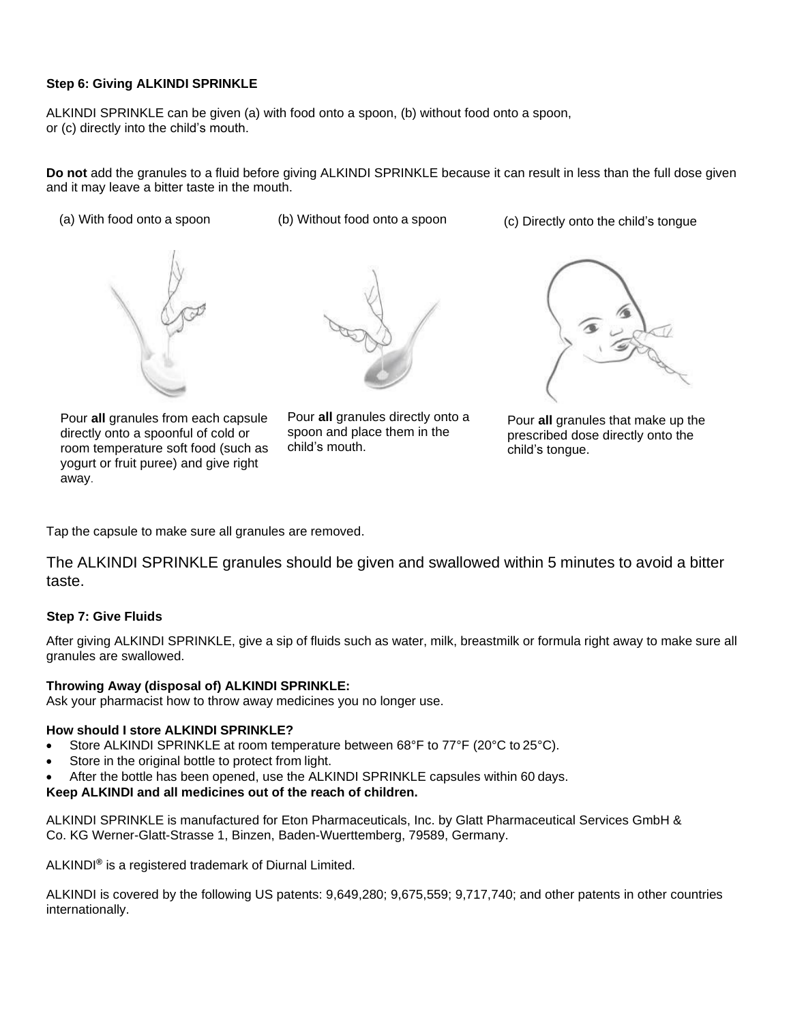### **Step 6: Giving ALKINDI SPRINKLE**

ALKINDI SPRINKLE can be given (a) with food onto a spoon, (b) without food onto a spoon, or (c) directly into the child's mouth.

**Do not** add the granules to a fluid before giving ALKINDI SPRINKLE because it can result in less than the full dose given and it may leave a bitter taste in the mouth.

- 
- 
- (a) With food onto a spoon (b) Without food onto a spoon (c) Directly onto the child's tongue



Pour **all** granules from each capsule directly onto a spoonful of cold or room temperature soft food (such as yogurt or fruit puree) and give right away.



Pour **all** granules directly onto a spoon and place them in the child's mouth.



Pour **all** granules that make up the prescribed dose directly onto the child's tongue.

Tap the capsule to make sure all granules are removed.

The ALKINDI SPRINKLE granules should be given and swallowed within 5 minutes to avoid a bitter taste.

#### **Step 7: Give Fluids**

After giving ALKINDI SPRINKLE, give a sip of fluids such as water, milk, breastmilk or formula right away to make sure all granules are swallowed.

#### **Throwing Away (disposal of) ALKINDI SPRINKLE:**

Ask your pharmacist how to throw away medicines you no longer use.

#### **How should I store ALKINDI SPRINKLE?**

- Store ALKINDI SPRINKLE at room temperature between 68°F to 77°F (20°C to 25°C).
- Store in the original bottle to protect from light.
- After the bottle has been opened, use the ALKINDI SPRINKLE capsules within 60 days.

#### **Keep ALKINDI and all medicines out of the reach of children.**

ALKINDI SPRINKLE is manufactured for Eton Pharmaceuticals, Inc. by Glatt Pharmaceutical Services GmbH & Co. KG Werner-Glatt-Strasse 1, Binzen, Baden-Wuerttemberg, 79589, Germany.

ALKINDI**®** is a registered trademark of Diurnal Limited.

ALKINDI is covered by the following US patents: 9,649,280; 9,675,559; 9,717,740; and other patents in other countries internationally.